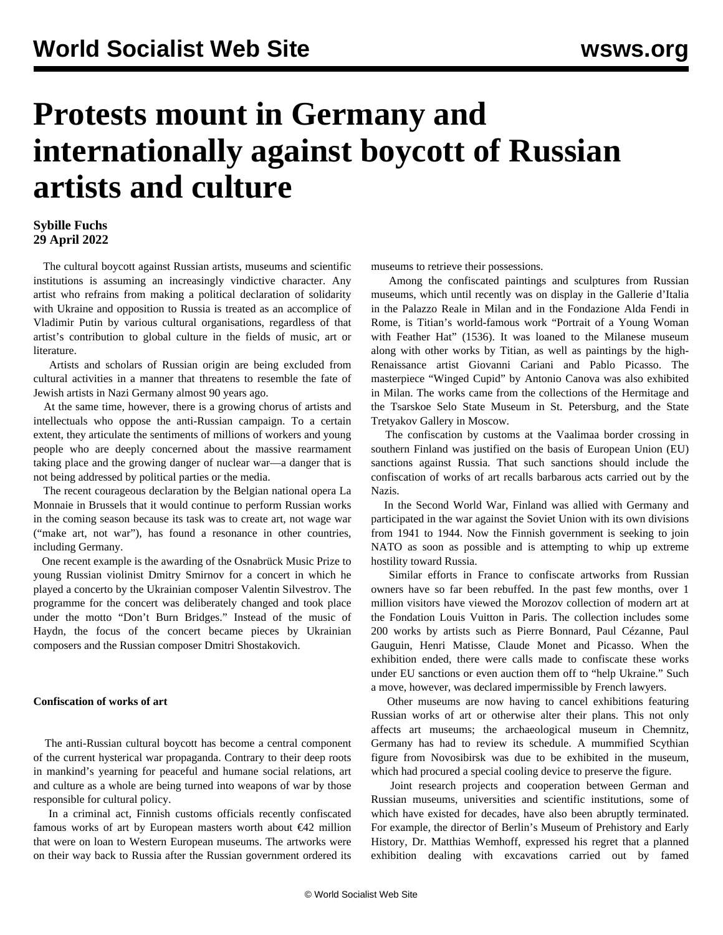# **Protests mount in Germany and internationally against boycott of Russian artists and culture**

## **Sybille Fuchs 29 April 2022**

 The cultural boycott against Russian artists, museums and scientific institutions is assuming an increasingly vindictive character. Any artist who refrains from making a political declaration of solidarity with Ukraine and opposition to Russia is treated as an accomplice of Vladimir Putin by various cultural organisations, regardless of that artist's contribution to global culture in the fields of music, art or literature.

 Artists and scholars of Russian origin are being excluded from cultural activities in a manner that threatens to resemble the fate of Jewish artists in Nazi Germany almost 90 years ago.

 At the same time, however, there is a growing chorus of artists and intellectuals who oppose the anti-Russian campaign. To a certain extent, they articulate the sentiments of millions of workers and young people who are deeply concerned about the massive rearmament taking place and the growing danger of nuclear war—a danger that is not being addressed by political parties or the media.

 The recent courageous declaration by the Belgian national opera La Monnaie in Brussels that it would continue to perform Russian works in the coming season because its task was to create art, not wage war ("make art, not war"), has found a resonance in other countries, including Germany.

 One recent example is the awarding of the Osnabrück Music Prize to young Russian violinist Dmitry Smirnov for a concert in which he played a concerto by the Ukrainian composer Valentin Silvestrov. The programme for the concert was deliberately changed and took place under the motto "Don't Burn Bridges." Instead of the music of Haydn, the focus of the concert became pieces by Ukrainian composers and the Russian composer Dmitri Shostakovich.

### **Confiscation of works of art**

 The anti-Russian cultural boycott has become a central component of the current hysterical war propaganda. Contrary to their deep roots in mankind's yearning for peaceful and humane social relations, art and culture as a whole are being turned into weapons of war by those responsible for cultural policy.

 In a criminal act, Finnish customs officials recently confiscated famous works of art by European masters worth about  $\epsilon$ 42 million that were on loan to Western European museums. The artworks were on their way back to Russia after the Russian government ordered its

museums to retrieve their possessions.

 Among the confiscated paintings and sculptures from Russian museums, which until recently was on display in the Gallerie d'Italia in the Palazzo Reale in Milan and in the Fondazione Alda Fendi in Rome, is Titian's world-famous work "Portrait of a Young Woman with Feather Hat" (1536). It was loaned to the Milanese museum along with other works by Titian, as well as paintings by the high-Renaissance artist Giovanni Cariani and Pablo Picasso. The masterpiece "Winged Cupid" by Antonio Canova was also exhibited in Milan. The works came from the collections of the Hermitage and the Tsarskoe Selo State Museum in St. Petersburg, and the State Tretyakov Gallery in Moscow.

 The confiscation by customs at the Vaalimaa border crossing in southern Finland was justified on the basis of European Union (EU) sanctions against Russia. That such sanctions should include the confiscation of works of art recalls barbarous acts carried out by the Nazis.

 In the Second World War, Finland was allied with Germany and participated in the war against the Soviet Union with its own divisions from 1941 to 1944. Now the Finnish government is seeking to join NATO as soon as possible and is attempting to whip up extreme hostility toward Russia.

 Similar efforts in France to confiscate artworks from Russian owners have so far been rebuffed. In the past few months, over 1 million visitors have viewed the Morozov collection of modern art at the Fondation Louis Vuitton in Paris. The collection includes some 200 works by artists such as Pierre Bonnard, Paul Cézanne, Paul Gauguin, Henri Matisse, Claude Monet and Picasso. When the exhibition ended, there were calls made to confiscate these works under EU sanctions or even auction them off to "help Ukraine." Such a move, however, was declared impermissible by French lawyers.

 Other museums are now having to cancel exhibitions featuring Russian works of art or otherwise alter their plans. This not only affects art museums; the archaeological museum in Chemnitz, Germany has had to review its schedule. A mummified Scythian figure from Novosibirsk was due to be exhibited in the museum, which had procured a special cooling device to preserve the figure.

 Joint research projects and cooperation between German and Russian museums, universities and scientific institutions, some of which have existed for decades, have also been abruptly terminated. For example, the director of Berlin's Museum of Prehistory and Early History, Dr. Matthias Wemhoff, expressed his regret that a planned exhibition dealing with excavations carried out by famed